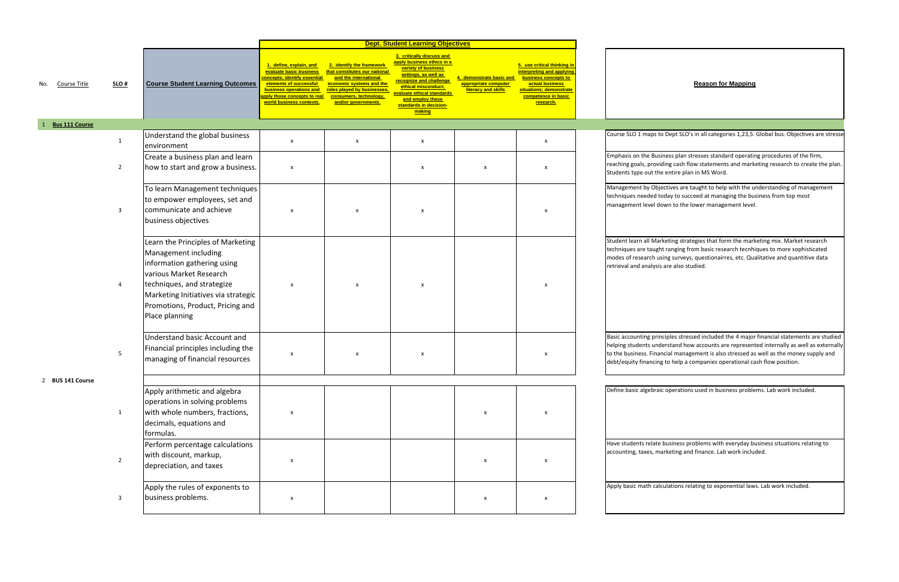|              |                       |                |                                                                                                                                                                                                                                                |                                                                                                                                                                                                                  |                                                                                                                                                                                                 | <b>Dept. Student Learning Objectives</b>                                                                                                                                                                                                              |                                                                         |                                                                                                                                                                    |                                                                                           |
|--------------|-----------------------|----------------|------------------------------------------------------------------------------------------------------------------------------------------------------------------------------------------------------------------------------------------------|------------------------------------------------------------------------------------------------------------------------------------------------------------------------------------------------------------------|-------------------------------------------------------------------------------------------------------------------------------------------------------------------------------------------------|-------------------------------------------------------------------------------------------------------------------------------------------------------------------------------------------------------------------------------------------------------|-------------------------------------------------------------------------|--------------------------------------------------------------------------------------------------------------------------------------------------------------------|-------------------------------------------------------------------------------------------|
| No.          | Course Title          | SLO#           | <b>Course Student Learning Outcomes</b>                                                                                                                                                                                                        | 1. define, explain, and<br>evaluate basic business<br><mark>concepts; identify essential</mark><br>elements of successful<br>business operations and<br>apply those concepts to real<br>world business contexts. | 2. identify the framework<br>that constitutes our national<br>and the international<br>economic systems and the<br>roles played by businesses,<br>consumers, technology,<br>and/or governments. | 3. critically discuss and<br>apply business ethics in a<br>variety of business<br>settings, as well as<br><b>recognize and challenge</b><br>ethical misconduct;<br>evaluate ethical standards<br>and employ these<br>standards in decision-<br>making | 4. demonstrate basic and<br>appropriate computer<br>literacy and skills | 5. use critical thinking in<br>interpreting and applying<br>business concepts to<br>actual business<br>situations; demonstrate<br>competence in basic<br>research. |                                                                                           |
| $\mathbf{1}$ | <b>Bus 111 Course</b> |                |                                                                                                                                                                                                                                                |                                                                                                                                                                                                                  |                                                                                                                                                                                                 |                                                                                                                                                                                                                                                       |                                                                         |                                                                                                                                                                    |                                                                                           |
|              |                       | $\mathbf{1}$   | Understand the global business<br>environment                                                                                                                                                                                                  | X                                                                                                                                                                                                                | $\pmb{\mathsf{x}}$                                                                                                                                                                              | X                                                                                                                                                                                                                                                     |                                                                         | $\pmb{\mathsf{x}}$                                                                                                                                                 | Course SLO 1 maps                                                                         |
|              |                       | $\overline{2}$ | Create a business plan and learn<br>how to start and grow a business.                                                                                                                                                                          | $\boldsymbol{\mathsf{x}}$                                                                                                                                                                                        |                                                                                                                                                                                                 | X                                                                                                                                                                                                                                                     | X                                                                       | $\pmb{\mathsf{x}}$                                                                                                                                                 | Emphasis on the Bu<br>reaching goals, prov<br>Students type out t                         |
|              |                       | 3              | To learn Management techniques<br>to empower employees, set and<br>communicate and achieve<br>business objectives                                                                                                                              | $\boldsymbol{\mathsf{x}}$                                                                                                                                                                                        | X                                                                                                                                                                                               | X                                                                                                                                                                                                                                                     |                                                                         | X                                                                                                                                                                  | Management by Ok<br>techniques needed<br>management level                                 |
|              |                       | 4              | Learn the Principles of Marketing<br>Management including<br>information gathering using<br>various Market Research<br>techniques, and strategize<br>Marketing Initiatives via strategic<br>Promotions, Product, Pricing and<br>Place planning | X                                                                                                                                                                                                                | X                                                                                                                                                                                               | x                                                                                                                                                                                                                                                     |                                                                         | X                                                                                                                                                                  | Student learn all M<br>techniques are taug<br>modes of research<br>retrieval and analys   |
|              |                       | 5              | Understand basic Account and<br>Financial principles including the<br>managing of financial resources                                                                                                                                          | X                                                                                                                                                                                                                | X                                                                                                                                                                                               | x                                                                                                                                                                                                                                                     |                                                                         | X                                                                                                                                                                  | Basic accounting pr<br>helping students ur<br>to the business. Fin<br>debt/equity financi |
|              | 2 BUS 141 Course      | 1              | Apply arithmetic and algebra<br>operations in solving problems<br>with whole numbers, fractions,<br>decimals, equations and<br>formulas.                                                                                                       | X                                                                                                                                                                                                                |                                                                                                                                                                                                 |                                                                                                                                                                                                                                                       | X                                                                       | $\pmb{\mathsf{x}}$                                                                                                                                                 | Define basic algebra                                                                      |
|              |                       | $\overline{2}$ | Perform percentage calculations<br>with discount, markup,<br>depreciation, and taxes                                                                                                                                                           | X                                                                                                                                                                                                                |                                                                                                                                                                                                 |                                                                                                                                                                                                                                                       | X                                                                       | X                                                                                                                                                                  | Have students relat<br>accounting, taxes, r                                               |
|              |                       | 3              | Apply the rules of exponents to<br>business problems.                                                                                                                                                                                          | X                                                                                                                                                                                                                |                                                                                                                                                                                                 |                                                                                                                                                                                                                                                       | x                                                                       | X                                                                                                                                                                  | Apply basic math ca                                                                       |

to Dept SLO's in all categories 1,23,5. Global bus. Objectives are stresse

usiness plan stresses standard operating procedures of the firm, viding cash flow statements and marketing research to create the plan. the entire plan in MS Word.

bjectives are taught to help with the understanding of management I today to succeed at managing the business from top most down to the lower management level.

larketing strategies that form the marketing mix. Market research ght ranging from basic research tecnhiques to more sophisticated using surveys, questionairres, etc. Qualitative and quantitive data sis are also studied.

rinciples stressed included the 4 major financial statements are studied nderstand how accounts are represented internally as well as externally ancial management is also stressed as well as the money supply and ing to help a companies operational cash flow position.

raic operations used in business problems. Lab work included.

ite business problems with everyday business situations relating to marketing and finance. Lab work included.

alculations relating to exponential laws. Lab work included.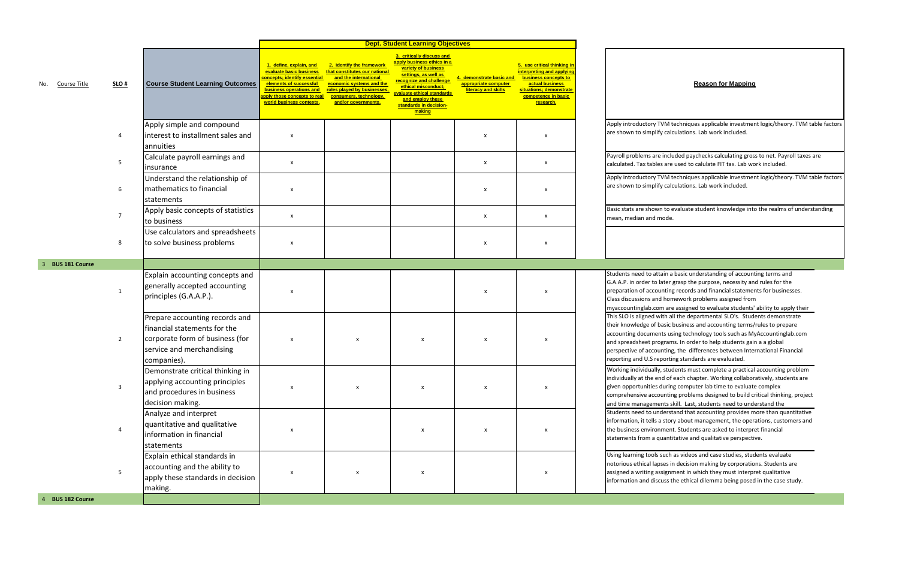ms are included paychecks calculating gross to net. Payroll taxes are Tax tables are used to calulate FIT tax. Lab work included.

ttory TVM techniques applicable investment logic/theory. TVM table factors simplify calculations. Lab work included.

ctory TVM techniques applicable investment logic/theory. TVM table factors simplify calculations. Lab work included.

e shown to evaluate student knowledge into the realms of understanding and mode.

d to attain a basic understanding of accounting terms and n order to later grasp the purpose, necessity and rules for the

- f accounting records and financial statements for businesses.
- s discussions and homework problems assigned from

lab.com are assigned to evaluate students' ability to apply their Ined with all the departmental SLO's. Students demonstrate ge of basic business and accounting terms/rules to prepare cuments using technology tools such as MyAccountinglab.com eet programs. In order to help students gain a a global accounting, the differences between International Financial U.S reporting standards are evaluated.

idually, students must complete a practical accounting problem the end of each chapter. Working collaboratively, students are nities during computer lab time to evaluate complex e accounting problems designed to build critical thinking, project agements skill. Last, students need to understand the

d to understand that accounting provides more than quantitative t tells a story about management, the operations, customers and e business environment. Students are asked to interpret financial s from a quantitative and qualitative perspective.

> tools such as videos and case studies, students evaluate cal lapses in decision making by corporations. Students are ting assignment in which they must interpret qualitative nd discuss the ethical dilemma being posed in the case study.

|     |                       |                |                                                                                                                                               |                                                                                                                                                                                                           |                                                                                                                                                                                                 | <b>Dept. Student Learning Objectives</b>                                                                                                                                                                                                       |                                                                      |                                                                                                                                                                           |                                                                                                            |
|-----|-----------------------|----------------|-----------------------------------------------------------------------------------------------------------------------------------------------|-----------------------------------------------------------------------------------------------------------------------------------------------------------------------------------------------------------|-------------------------------------------------------------------------------------------------------------------------------------------------------------------------------------------------|------------------------------------------------------------------------------------------------------------------------------------------------------------------------------------------------------------------------------------------------|----------------------------------------------------------------------|---------------------------------------------------------------------------------------------------------------------------------------------------------------------------|------------------------------------------------------------------------------------------------------------|
| No. | Course Title          | SLO#           | <b>Course Student Learning Outcomes</b>                                                                                                       | 1. define, explain, and<br>evaluate basic business<br>concepts; identify essential<br>elements of successful<br>business operations and<br><b>pply those concepts to real</b><br>world business contexts. | 2. identify the framework<br>that constitutes our national<br>and the international<br>economic systems and the<br>roles played by businesses.<br>consumers, technology,<br>and/or governments. | 3. critically discuss and<br>apply business ethics in a<br>variety of business<br>settings, as well as<br>recognize and challenge<br>ethical misconduct;<br>evaluate ethical standards<br>and employ these<br>standards in decision-<br>making | demonstrate basic and<br>appropriate computer<br>literacy and skills | 5. use critical thinking in<br><u>interpreting and applying</u><br>business concepts to<br>actual business<br>situations: demonstrate<br>competence in basic<br>research. |                                                                                                            |
|     |                       | 4              | Apply simple and compound<br>interest to installment sales and<br>annuities                                                                   | X                                                                                                                                                                                                         |                                                                                                                                                                                                 |                                                                                                                                                                                                                                                | $\pmb{\times}$                                                       | x                                                                                                                                                                         | Apply introduc<br>are shown to s                                                                           |
|     |                       | 5              | Calculate payroll earnings and<br>insurance                                                                                                   | $\mathsf{x}$                                                                                                                                                                                              |                                                                                                                                                                                                 |                                                                                                                                                                                                                                                | X                                                                    | X                                                                                                                                                                         | Payroll probler<br>calculated. Tax                                                                         |
|     |                       | 6              | Understand the relationship of<br>mathematics to financial<br>statements                                                                      | x                                                                                                                                                                                                         |                                                                                                                                                                                                 |                                                                                                                                                                                                                                                | $\pmb{\times}$                                                       | x                                                                                                                                                                         | Apply introduc<br>are shown to s                                                                           |
|     |                       | $\overline{7}$ | Apply basic concepts of statistics<br>to business                                                                                             | X                                                                                                                                                                                                         |                                                                                                                                                                                                 |                                                                                                                                                                                                                                                | $\pmb{\times}$                                                       | X                                                                                                                                                                         | Basic stats are<br>mean, median                                                                            |
|     |                       | 8              | Use calculators and spreadsheets<br>to solve business problems                                                                                | $\pmb{\times}$                                                                                                                                                                                            |                                                                                                                                                                                                 |                                                                                                                                                                                                                                                | $\pmb{\times}$                                                       | X                                                                                                                                                                         |                                                                                                            |
|     | 3 BUS 181 Course      |                |                                                                                                                                               |                                                                                                                                                                                                           |                                                                                                                                                                                                 |                                                                                                                                                                                                                                                |                                                                      |                                                                                                                                                                           |                                                                                                            |
|     |                       | $\mathbf{1}$   | Explain accounting concepts and<br>generally accepted accounting<br>principles (G.A.A.P.).                                                    | X                                                                                                                                                                                                         |                                                                                                                                                                                                 |                                                                                                                                                                                                                                                | $\pmb{\times}$                                                       | X                                                                                                                                                                         | Students need<br>G.A.A.P. in ord<br>preparation of<br>Class discussio<br>myaccountingl                     |
|     |                       | $\overline{2}$ | Prepare accounting records and<br>financial statements for the<br>corporate form of business (for<br>service and merchandising<br>companies). | X                                                                                                                                                                                                         | X                                                                                                                                                                                               | X                                                                                                                                                                                                                                              | $\pmb{\times}$                                                       | X                                                                                                                                                                         | This SLO is alig<br>their knowledg<br>accounting doo<br>and spreadshe<br>perspective of<br>reporting and I |
|     |                       | $\mathbf{3}$   | Demonstrate critical thinking in<br>applying accounting principles<br>and procedures in business<br>decision making.                          | X                                                                                                                                                                                                         | $\mathsf{x}$                                                                                                                                                                                    | $\mathsf{x}$                                                                                                                                                                                                                                   | $\mathsf{x}$                                                         | X                                                                                                                                                                         | Working indivi<br>individually at<br>given opportur<br>comprehensive<br>and time mana                      |
|     |                       | $\overline{4}$ | Analyze and interpret<br>quantitative and qualitative<br>information in financial<br>statements                                               | $\pmb{\mathsf{X}}$                                                                                                                                                                                        |                                                                                                                                                                                                 | $\mathsf{x}$                                                                                                                                                                                                                                   | $\boldsymbol{\mathsf{x}}$                                            | X                                                                                                                                                                         | Students need<br>information, it<br>the business er<br>statements fro                                      |
|     |                       | 5              | Explain ethical standards in<br>accounting and the ability to<br>apply these standards in decision<br>making.                                 | X                                                                                                                                                                                                         | $\pmb{\mathsf{X}}$                                                                                                                                                                              | $\pmb{\mathsf{X}}$                                                                                                                                                                                                                             |                                                                      | X                                                                                                                                                                         | <b>Using learning</b><br>notorious ethic<br>assigned a writ<br>information an                              |
|     | <b>BUS 182 Course</b> |                |                                                                                                                                               |                                                                                                                                                                                                           |                                                                                                                                                                                                 |                                                                                                                                                                                                                                                |                                                                      |                                                                                                                                                                           |                                                                                                            |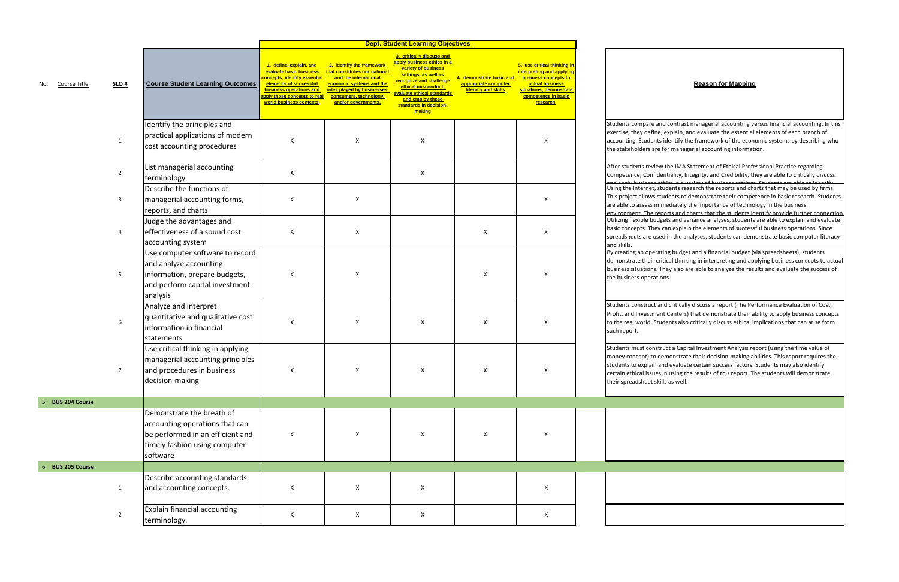npare and contrast managerial accounting versus financial accounting. In this  $\alpha$  define, explain, and evaluate the essential elements of each branch of Students identify the framework of the economic systems by describing who ders are for managerial accounting information.

r students review the IMA Statement of Ethical Professional Practice regarding , Confidentiality, Integrity, and Credibility, they are able to critically discuss

> ble budgets and variance analyses, students are able to explain and evaluate ts. They can explain the elements of successful business operations. Since s are used in the analyses, students can demonstrate basic computer literacy ernet, students research the reports and charts that may be used by firms. allows students to demonstrate their competence in basic research. Students ssess immediately the importance of technology in the business The reports and charts that the students identify provide further connection

> I operating budget and a financial budget (via spreadsheets), students their critical thinking in interpreting and applying business concepts to actual ations. They also are able to analyze the results and evaluate the success of operations.

s construct and critically discuss a report (The Performance Evaluation of Cost, vestment Centers) that demonstrate their ability to apply business concepts orld. Students also critically discuss ethical implications that can arise from

s must construct a Capital Investment Analysis report (using the time value of ept) to demonstrate their decision-making abilities. This report requires the explain and evaluate certain success factors. Students may also identify al issues in using the results of this report. The students will demonstrate heet skills as well.

|                     |                  |                                                                                                                                              |                                                                                                                                                                                                   |                                                                                                                                                                                                 | <b>Dept. Student Learning Objectives</b>                                                                                                                                                                                                       |                                                                      |                                                                                                                                                                    |                                                                                       |
|---------------------|------------------|----------------------------------------------------------------------------------------------------------------------------------------------|---------------------------------------------------------------------------------------------------------------------------------------------------------------------------------------------------|-------------------------------------------------------------------------------------------------------------------------------------------------------------------------------------------------|------------------------------------------------------------------------------------------------------------------------------------------------------------------------------------------------------------------------------------------------|----------------------------------------------------------------------|--------------------------------------------------------------------------------------------------------------------------------------------------------------------|---------------------------------------------------------------------------------------|
| Course Title<br>No. | $SLO$ #          | <b>Course Student Learning Outcomes</b>                                                                                                      | 1. define, explain, and<br>evaluate basic business<br>oncepts; identify essential<br>elements of successful<br>business operations and<br>pply those concepts to real<br>world business contexts. | 2. identify the framework<br>that constitutes our national<br>and the international<br>economic systems and the<br>roles played by businesses,<br>consumers, technology,<br>and/or governments. | 3. critically discuss and<br>apply business ethics in a<br>variety of business<br>settings, as well as<br>recognize and challenge<br>ethical misconduct;<br>evaluate ethical standards<br>and employ these<br>standards in decision-<br>making | demonstrate basic and<br>appropriate computer<br>literacy and skills | 5. use critical thinking in<br>interpreting and applying<br>business concepts to<br>actual business<br>situations; demonstrate<br>competence in basic<br>research. |                                                                                       |
|                     | $\mathbf{1}$     | Identify the principles and<br>practical applications of modern<br>cost accounting procedures                                                | X                                                                                                                                                                                                 | X                                                                                                                                                                                               | X                                                                                                                                                                                                                                              |                                                                      | X                                                                                                                                                                  | Students com<br>exercise, they<br>accounting. St<br>the stakehold                     |
|                     | $\overline{2}$   | List managerial accounting<br>terminology                                                                                                    | X                                                                                                                                                                                                 |                                                                                                                                                                                                 | X                                                                                                                                                                                                                                              |                                                                      |                                                                                                                                                                    | After students<br>Competence,                                                         |
|                     | 3                | Describe the functions of<br>managerial accounting forms,<br>reports, and charts                                                             | X                                                                                                                                                                                                 | $\boldsymbol{\mathsf{x}}$                                                                                                                                                                       |                                                                                                                                                                                                                                                |                                                                      | X                                                                                                                                                                  | and angly bus<br>Using the Inte<br>This project al<br>are able to as:<br>environment. |
|                     | $\overline{4}$   | Judge the advantages and<br>effectiveness of a sound cost<br>accounting system                                                               | X                                                                                                                                                                                                 | X                                                                                                                                                                                               |                                                                                                                                                                                                                                                | X                                                                    | X                                                                                                                                                                  | <b>Utilizing flexib</b><br>basic concept:<br>spreadsheets<br>and skills.              |
|                     | $5\phantom{.0}$  | Use computer software to record<br>and analyze accounting<br>information, prepare budgets,<br>and perform capital investment<br>analysis     | X                                                                                                                                                                                                 | X                                                                                                                                                                                               |                                                                                                                                                                                                                                                | X                                                                    | Χ                                                                                                                                                                  | By creating an<br>demonstrate<br>business situa<br>the business o                     |
|                     | $\boldsymbol{6}$ | Analyze and interpret<br>quantitative and qualitative cost<br>information in financial<br>statements                                         | X                                                                                                                                                                                                 | X                                                                                                                                                                                               | X                                                                                                                                                                                                                                              | X                                                                    | X                                                                                                                                                                  | Students cons<br>Profit, and Inv<br>to the real wo<br>such report.                    |
|                     |                  | Use critical thinking in applying<br>managerial accounting principles<br>and procedures in business<br>decision-making                       | Χ                                                                                                                                                                                                 | X                                                                                                                                                                                               | X                                                                                                                                                                                                                                              | X                                                                    | X                                                                                                                                                                  | Students mus<br>money concep<br>students to ex<br>certain ethica<br>their spreadsh    |
| 5 BUS 204 Course    |                  |                                                                                                                                              |                                                                                                                                                                                                   |                                                                                                                                                                                                 |                                                                                                                                                                                                                                                |                                                                      |                                                                                                                                                                    |                                                                                       |
|                     |                  | Demonstrate the breath of<br>accounting operations that can<br>be performed in an efficient and<br>timely fashion using computer<br>software | X                                                                                                                                                                                                 | X                                                                                                                                                                                               | X                                                                                                                                                                                                                                              | $\mathsf X$                                                          | X                                                                                                                                                                  |                                                                                       |
| 6 BUS 205 Course    |                  |                                                                                                                                              |                                                                                                                                                                                                   |                                                                                                                                                                                                 |                                                                                                                                                                                                                                                |                                                                      |                                                                                                                                                                    |                                                                                       |
|                     | $\mathbf{1}$     | Describe accounting standards<br>and accounting concepts.                                                                                    | X                                                                                                                                                                                                 | X                                                                                                                                                                                               | X                                                                                                                                                                                                                                              |                                                                      | X                                                                                                                                                                  |                                                                                       |
|                     | $\overline{2}$   | Explain financial accounting<br>terminology.                                                                                                 | X                                                                                                                                                                                                 | X                                                                                                                                                                                               | $\pmb{\mathsf{X}}$                                                                                                                                                                                                                             |                                                                      | X                                                                                                                                                                  |                                                                                       |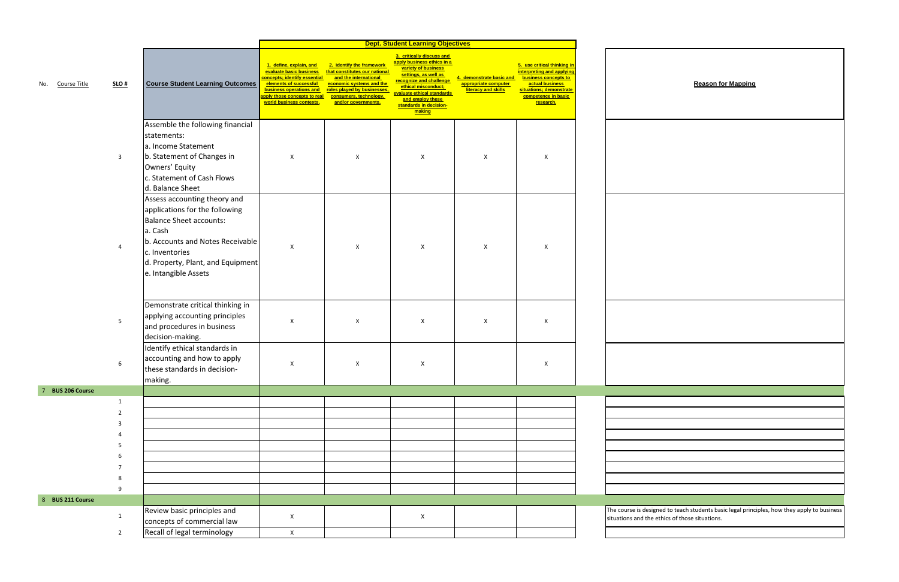|                                             | <b>Reason for Mapping</b>                                                                 |
|---------------------------------------------|-------------------------------------------------------------------------------------------|
|                                             |                                                                                           |
|                                             |                                                                                           |
|                                             |                                                                                           |
|                                             |                                                                                           |
|                                             |                                                                                           |
| uations and the ethics of those situations. | e course is designed to teach students basic legal principles, how they apply to business |

|     |                  |                |                                                                                                                                                                                                                                |                                                                                                                                                                                                     |                                                                                                                                                                                                 | <b>Dept. Student Learning Objectives</b>                                                                                                                                                                                                       |                                                                         |                                                                                                                                                                           |                        |
|-----|------------------|----------------|--------------------------------------------------------------------------------------------------------------------------------------------------------------------------------------------------------------------------------|-----------------------------------------------------------------------------------------------------------------------------------------------------------------------------------------------------|-------------------------------------------------------------------------------------------------------------------------------------------------------------------------------------------------|------------------------------------------------------------------------------------------------------------------------------------------------------------------------------------------------------------------------------------------------|-------------------------------------------------------------------------|---------------------------------------------------------------------------------------------------------------------------------------------------------------------------|------------------------|
| No. | Course Title     | $SLO$ #        | <b>Course Student Learning Outcomes</b>                                                                                                                                                                                        | 1. define, explain, and<br>evaluate basic business<br>concepts; identify essential<br>elements of successful<br>business operations and<br>apply those concepts to real<br>world business contexts. | 2. identify the framework<br>that constitutes our national<br>and the international<br>economic systems and the<br>roles played by businesses,<br>consumers, technology,<br>and/or governments. | 3. critically discuss and<br>apply business ethics in a<br>variety of business<br>settings, as well as<br>recognize and challenge<br>ethical misconduct:<br>evaluate ethical standards<br>and employ these<br>standards in decision-<br>making | 4. demonstrate basic and<br>appropriate computer<br>literacy and skills | 5. use critical thinking in<br><b>interpreting and applying</b><br>business concepts to<br>actual business<br>situations; demonstrate<br>competence in basic<br>research. |                        |
|     |                  | $\overline{3}$ | Assemble the following financial<br>statements:<br>a. Income Statement<br>b. Statement of Changes in<br>Owners' Equity<br>c. Statement of Cash Flows<br>d. Balance Sheet                                                       | X                                                                                                                                                                                                   | X                                                                                                                                                                                               | X                                                                                                                                                                                                                                              | Χ                                                                       | X                                                                                                                                                                         |                        |
|     |                  |                | Assess accounting theory and<br>applications for the following<br><b>Balance Sheet accounts:</b><br>a. Cash<br>b. Accounts and Notes Receivable<br>c. Inventories<br>d. Property, Plant, and Equipment<br>e. Intangible Assets | $\boldsymbol{\mathsf{X}}$                                                                                                                                                                           | X                                                                                                                                                                                               | X                                                                                                                                                                                                                                              | X                                                                       | X                                                                                                                                                                         |                        |
|     |                  | 5              | Demonstrate critical thinking in<br>applying accounting principles<br>and procedures in business<br>decision-making.                                                                                                           | X                                                                                                                                                                                                   | $\pmb{\mathsf{X}}$                                                                                                                                                                              | X                                                                                                                                                                                                                                              | X                                                                       | X                                                                                                                                                                         |                        |
|     |                  | 6              | Identify ethical standards in<br>accounting and how to apply<br>these standards in decision-<br>making.                                                                                                                        | X                                                                                                                                                                                                   | X                                                                                                                                                                                               | X                                                                                                                                                                                                                                              |                                                                         | X                                                                                                                                                                         |                        |
|     | 7 BUS 206 Course |                |                                                                                                                                                                                                                                |                                                                                                                                                                                                     |                                                                                                                                                                                                 |                                                                                                                                                                                                                                                |                                                                         |                                                                                                                                                                           |                        |
|     |                  | $\mathbf{1}$   |                                                                                                                                                                                                                                |                                                                                                                                                                                                     |                                                                                                                                                                                                 |                                                                                                                                                                                                                                                |                                                                         |                                                                                                                                                                           |                        |
|     |                  | $\overline{2}$ |                                                                                                                                                                                                                                |                                                                                                                                                                                                     |                                                                                                                                                                                                 |                                                                                                                                                                                                                                                |                                                                         |                                                                                                                                                                           |                        |
|     |                  |                |                                                                                                                                                                                                                                |                                                                                                                                                                                                     |                                                                                                                                                                                                 |                                                                                                                                                                                                                                                |                                                                         |                                                                                                                                                                           |                        |
|     |                  |                |                                                                                                                                                                                                                                |                                                                                                                                                                                                     |                                                                                                                                                                                                 |                                                                                                                                                                                                                                                |                                                                         |                                                                                                                                                                           |                        |
|     |                  | 5              |                                                                                                                                                                                                                                |                                                                                                                                                                                                     |                                                                                                                                                                                                 |                                                                                                                                                                                                                                                |                                                                         |                                                                                                                                                                           |                        |
|     |                  |                |                                                                                                                                                                                                                                |                                                                                                                                                                                                     |                                                                                                                                                                                                 |                                                                                                                                                                                                                                                |                                                                         |                                                                                                                                                                           |                        |
|     |                  |                |                                                                                                                                                                                                                                |                                                                                                                                                                                                     |                                                                                                                                                                                                 |                                                                                                                                                                                                                                                |                                                                         |                                                                                                                                                                           |                        |
|     |                  | 8              |                                                                                                                                                                                                                                |                                                                                                                                                                                                     |                                                                                                                                                                                                 |                                                                                                                                                                                                                                                |                                                                         |                                                                                                                                                                           |                        |
|     |                  | 9              |                                                                                                                                                                                                                                |                                                                                                                                                                                                     |                                                                                                                                                                                                 |                                                                                                                                                                                                                                                |                                                                         |                                                                                                                                                                           |                        |
|     | 8 BUS 211 Course |                |                                                                                                                                                                                                                                |                                                                                                                                                                                                     |                                                                                                                                                                                                 |                                                                                                                                                                                                                                                |                                                                         |                                                                                                                                                                           |                        |
|     |                  |                | Review basic principles and                                                                                                                                                                                                    |                                                                                                                                                                                                     |                                                                                                                                                                                                 |                                                                                                                                                                                                                                                |                                                                         |                                                                                                                                                                           | The course is designe  |
|     |                  | $\mathbf{1}$   | concepts of commercial law                                                                                                                                                                                                     | X                                                                                                                                                                                                   |                                                                                                                                                                                                 | X                                                                                                                                                                                                                                              |                                                                         |                                                                                                                                                                           | situations and the etl |
|     |                  | $\overline{2}$ | Recall of legal terminology                                                                                                                                                                                                    | $\mathsf X$                                                                                                                                                                                         |                                                                                                                                                                                                 |                                                                                                                                                                                                                                                |                                                                         |                                                                                                                                                                           |                        |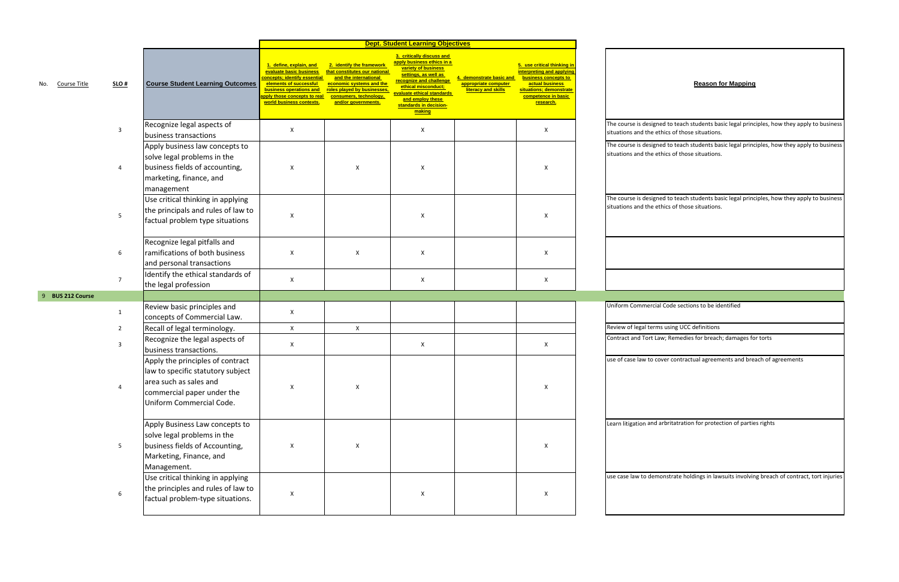signed to teach students basic legal principles, how they apply to business he ethics of those situations.

signed to teach students basic legal principles, how they apply to business ne ethics of those situations.

signed to teach students basic legal principles, how they apply to business he ethics of those situations.

ercial Code sections to be identified

terms using UCC definitions

rt Law; Remedies for breach; damages for torts

|                     |                |                                                                                                                                                           |                                                                                                                                                                                                                 |                                                                                                                                                                                                 | <b>Dept. Student Learning Objectives</b>                                                                                                                                                                                                       |                                                                         |                                                                                                                                                                    |                                        |
|---------------------|----------------|-----------------------------------------------------------------------------------------------------------------------------------------------------------|-----------------------------------------------------------------------------------------------------------------------------------------------------------------------------------------------------------------|-------------------------------------------------------------------------------------------------------------------------------------------------------------------------------------------------|------------------------------------------------------------------------------------------------------------------------------------------------------------------------------------------------------------------------------------------------|-------------------------------------------------------------------------|--------------------------------------------------------------------------------------------------------------------------------------------------------------------|----------------------------------------|
| Course Title<br>No. | $SLO$ #        | <b>Course Student Learning Outcomes</b>                                                                                                                   | 1. define, explain, and<br>evaluate basic business<br>concepts; identify essential<br>elements of successful<br>business operations and<br><mark>pply those concepts to real</mark><br>world business contexts. | 2. identify the framework<br>that constitutes our national<br>and the international<br>economic systems and the<br>roles played by businesses,<br>consumers, technology,<br>and/or governments. | 3. critically discuss and<br>apply business ethics in a<br>variety of business<br>settings, as well as<br>recognize and challenge<br>ethical misconduct:<br>evaluate ethical standards<br>and employ these<br>standards in decision-<br>making | 4. demonstrate basic and<br>appropriate computer<br>literacy and skills | 5. use critical thinking in<br>interpreting and applying<br>business concepts to<br>actual business<br>situations; demonstrate<br>competence in basic<br>research. |                                        |
|                     | 3              | Recognize legal aspects of<br>business transactions                                                                                                       | X                                                                                                                                                                                                               |                                                                                                                                                                                                 | X                                                                                                                                                                                                                                              |                                                                         | X                                                                                                                                                                  | The course is des<br>situations and th |
|                     | 4              | Apply business law concepts to<br>solve legal problems in the<br>business fields of accounting,<br>marketing, finance, and<br>management                  | X                                                                                                                                                                                                               | X                                                                                                                                                                                               | X                                                                                                                                                                                                                                              |                                                                         | x                                                                                                                                                                  | The course is des<br>situations and th |
|                     | 5              | Use critical thinking in applying<br>the principals and rules of law to<br>factual problem type situations                                                | X                                                                                                                                                                                                               |                                                                                                                                                                                                 | X                                                                                                                                                                                                                                              |                                                                         | х                                                                                                                                                                  | The course is des<br>situations and th |
|                     | 6              | Recognize legal pitfalls and<br>ramifications of both business<br>and personal transactions                                                               | X                                                                                                                                                                                                               | X                                                                                                                                                                                               | X                                                                                                                                                                                                                                              |                                                                         | х                                                                                                                                                                  |                                        |
|                     | $\overline{7}$ | Identify the ethical standards of<br>the legal profession                                                                                                 | X                                                                                                                                                                                                               |                                                                                                                                                                                                 | X                                                                                                                                                                                                                                              |                                                                         | X                                                                                                                                                                  |                                        |
| 9 BUS 212 Course    |                |                                                                                                                                                           |                                                                                                                                                                                                                 |                                                                                                                                                                                                 |                                                                                                                                                                                                                                                |                                                                         |                                                                                                                                                                    |                                        |
|                     | $\mathbf{1}$   | Review basic principles and<br>concepts of Commercial Law.                                                                                                | X                                                                                                                                                                                                               |                                                                                                                                                                                                 |                                                                                                                                                                                                                                                |                                                                         |                                                                                                                                                                    | <b>Uniform Comme</b>                   |
|                     | $\overline{2}$ | Recall of legal terminology.                                                                                                                              | $\mathsf X$                                                                                                                                                                                                     | X                                                                                                                                                                                               |                                                                                                                                                                                                                                                |                                                                         |                                                                                                                                                                    | Review of legal to                     |
|                     | 3              | Recognize the legal aspects of<br>business transactions.                                                                                                  | X                                                                                                                                                                                                               |                                                                                                                                                                                                 | X                                                                                                                                                                                                                                              |                                                                         | X                                                                                                                                                                  | Contract and Tor                       |
|                     | 4              | Apply the principles of contract<br>law to specific statutory subject<br>area such as sales and<br>commercial paper under the<br>Uniform Commercial Code. | $\mathsf X$                                                                                                                                                                                                     | X                                                                                                                                                                                               |                                                                                                                                                                                                                                                |                                                                         | X                                                                                                                                                                  | use of case law to                     |
|                     | 5              | Apply Business Law concepts to<br>solve legal problems in the<br>business fields of Accounting,<br>Marketing, Finance, and<br>Management.                 | X                                                                                                                                                                                                               | X                                                                                                                                                                                               |                                                                                                                                                                                                                                                |                                                                         | X                                                                                                                                                                  | Learn litigation a                     |
|                     | 6              | Use critical thinking in applying<br>the principles and rules of law to<br>factual problem-type situations.                                               | X                                                                                                                                                                                                               |                                                                                                                                                                                                 | X                                                                                                                                                                                                                                              |                                                                         | X                                                                                                                                                                  | use case law to d                      |

to cover contractual agreements and breach of agreements

and arbritatration for protection of parties rights

demonstrate holdings in lawsuits involving breach of contract, tort injuries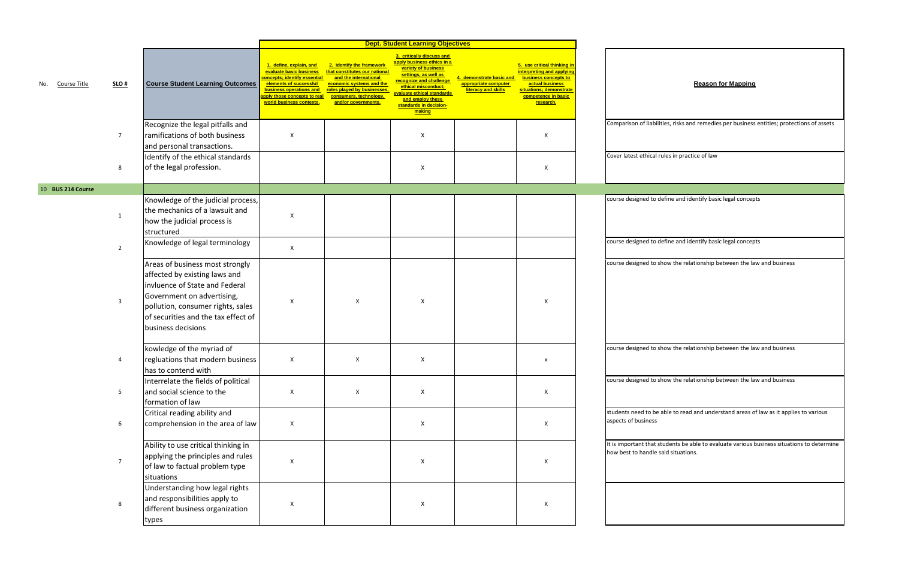ilities, risks and remedies per business entities; protections of assets

|     |                   |                 |                                                                                                                                                                                                                                    |                                                                                                                                                                                                    |                                                                                                                                                                                                 | <b>Dept. Student Learning Objectives</b>                                                                                                                                                                                                       |                                                                         |                                                                                                                                                                    |                                            |
|-----|-------------------|-----------------|------------------------------------------------------------------------------------------------------------------------------------------------------------------------------------------------------------------------------------|----------------------------------------------------------------------------------------------------------------------------------------------------------------------------------------------------|-------------------------------------------------------------------------------------------------------------------------------------------------------------------------------------------------|------------------------------------------------------------------------------------------------------------------------------------------------------------------------------------------------------------------------------------------------|-------------------------------------------------------------------------|--------------------------------------------------------------------------------------------------------------------------------------------------------------------|--------------------------------------------|
| No. | Course Title      | SLO#            | <b>Course Student Learning Outcomes</b>                                                                                                                                                                                            | 1. define, explain, and<br>evaluate basic business<br>concepts; identify essential<br>elements of successful<br>business operations and<br>pply those concepts to real<br>world business contexts. | 2. identify the framework<br>that constitutes our national<br>and the international<br>economic systems and the<br>roles played by businesses,<br>consumers, technology,<br>and/or governments. | 3. critically discuss and<br>apply business ethics in a<br>variety of business<br>settings, as well as<br>recognize and challenge<br>ethical misconduct;<br>evaluate ethical standards<br>and employ these<br>standards in decision-<br>making | 4. demonstrate basic and<br>appropriate computer<br>literacy and skills | 5. use critical thinking in<br>interpreting and applying<br>business concepts to<br>actual business<br>situations; demonstrate<br>competence in basic<br>research. |                                            |
|     |                   | $\overline{7}$  | Recognize the legal pitfalls and<br>ramifications of both business<br>and personal transactions.                                                                                                                                   | X                                                                                                                                                                                                  |                                                                                                                                                                                                 | X                                                                                                                                                                                                                                              |                                                                         | X                                                                                                                                                                  | Comparison of liabi                        |
|     |                   | 8               | Identify of the ethical standards<br>of the legal profession.                                                                                                                                                                      |                                                                                                                                                                                                    |                                                                                                                                                                                                 | X                                                                                                                                                                                                                                              |                                                                         | X                                                                                                                                                                  | Cover latest ethical                       |
|     | 10 BUS 214 Course |                 |                                                                                                                                                                                                                                    |                                                                                                                                                                                                    |                                                                                                                                                                                                 |                                                                                                                                                                                                                                                |                                                                         |                                                                                                                                                                    |                                            |
|     |                   | 1               | Knowledge of the judicial process,<br>the mechanics of a lawsuit and<br>how the judicial process is<br>structured                                                                                                                  | X                                                                                                                                                                                                  |                                                                                                                                                                                                 |                                                                                                                                                                                                                                                |                                                                         |                                                                                                                                                                    | course designed to                         |
|     |                   | $\overline{2}$  | Knowledge of legal terminology                                                                                                                                                                                                     | X                                                                                                                                                                                                  |                                                                                                                                                                                                 |                                                                                                                                                                                                                                                |                                                                         |                                                                                                                                                                    | course designed to                         |
|     |                   | $\overline{3}$  | Areas of business most strongly<br>affected by existing laws and<br>invluence of State and Federal<br>Government on advertising,<br>pollution, consumer rights, sales<br>of securities and the tax effect of<br>business decisions | X                                                                                                                                                                                                  | X                                                                                                                                                                                               | X                                                                                                                                                                                                                                              |                                                                         | X                                                                                                                                                                  | course designed to                         |
|     |                   | 4               | kowledge of the myriad of<br>regluations that modern business<br>has to contend with                                                                                                                                               | X                                                                                                                                                                                                  | X                                                                                                                                                                                               | X                                                                                                                                                                                                                                              |                                                                         | X                                                                                                                                                                  | course designed to                         |
|     |                   | $5\phantom{.0}$ | Interrelate the fields of political<br>and social science to the<br>formation of law                                                                                                                                               | X                                                                                                                                                                                                  | X                                                                                                                                                                                               | X                                                                                                                                                                                                                                              |                                                                         | X                                                                                                                                                                  | course designed to                         |
|     |                   | 6               | Critical reading ability and<br>comprehension in the area of law                                                                                                                                                                   | X                                                                                                                                                                                                  |                                                                                                                                                                                                 | $\mathsf X$                                                                                                                                                                                                                                    |                                                                         | $\mathsf X$                                                                                                                                                        | students need to be<br>aspects of business |
|     |                   | $\overline{7}$  | Ability to use critical thinking in<br>applying the principles and rules<br>of law to factual problem type<br>situations                                                                                                           | X                                                                                                                                                                                                  |                                                                                                                                                                                                 | X                                                                                                                                                                                                                                              |                                                                         | $\mathsf X$                                                                                                                                                        | It is important that<br>how best to handle |
|     |                   | $\,8\,$         | Understanding how legal rights<br>and responsibilities apply to<br>different business organization<br>types                                                                                                                        | X                                                                                                                                                                                                  |                                                                                                                                                                                                 | $\pmb{\mathsf{X}}$                                                                                                                                                                                                                             |                                                                         | $\mathsf X$                                                                                                                                                        |                                            |

latest ethical rules in practice of law

define and identify basic legal concepts

define and identify basic legal concepts

o show the relationship between the law and business

o show the relationship between the law and business

o show the relationship between the law and business

be able to read and understand areas of law as it applies to various

t students be able to evaluate various business situations to determine e said situations.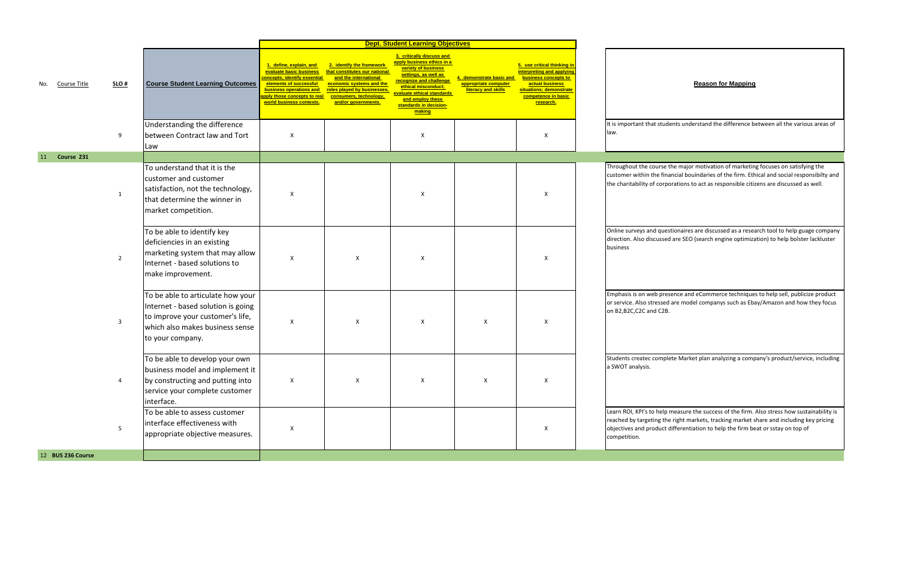t students understand the difference between all the various areas of

ourse the major motivation of marketing focuses on satisfying the he financial bouindaries of the firm. Ethical and social responsibilty and f corporations to act as responsible citizens are discussed as well.

d questionaires are discussed as a research tool to help guage company o discussed are SEO (search engine optimization) to help bolster lackluster

eb presence and eCommerce techniques to help sell, publicize product ressed are model companys such as Ebay/Amazon and how they focus  $d$  C2B.

|     |                   |                 |                                                                                                                                                                    |                                                                                                                                                                                                          |                                                                                                                                                                                                 | <b>Dept. Student Learning Objectives</b>                                                                                                                                                                                                       |                                                                      |                                                                                                                                                                    |                                                                                 |
|-----|-------------------|-----------------|--------------------------------------------------------------------------------------------------------------------------------------------------------------------|----------------------------------------------------------------------------------------------------------------------------------------------------------------------------------------------------------|-------------------------------------------------------------------------------------------------------------------------------------------------------------------------------------------------|------------------------------------------------------------------------------------------------------------------------------------------------------------------------------------------------------------------------------------------------|----------------------------------------------------------------------|--------------------------------------------------------------------------------------------------------------------------------------------------------------------|---------------------------------------------------------------------------------|
| No. | Course Title      | SLO#            | <b>Course Student Learning Outcomes</b>                                                                                                                            | 1. define, explain, and<br>evaluate basic business<br>oncepts; identify essential<br>elements of successful<br><b>business operations and</b><br>pply those concepts to real<br>world business contexts. | 2. identify the framework<br>that constitutes our national<br>and the international<br>economic systems and the<br>roles played by businesses,<br>consumers, technology,<br>and/or governments. | 3. critically discuss and<br>apply business ethics in a<br>variety of business<br>settings, as well as<br>recognize and challenge<br>ethical misconduct:<br>evaluate ethical standards<br>and employ these<br>standards in decision-<br>making | demonstrate basic and<br>appropriate computer<br>literacy and skills | 5. use critical thinking in<br>interpreting and applying<br>business concepts to<br>actual business<br>situations; demonstrate<br>competence in basic<br>research. |                                                                                 |
|     |                   | 9               | Understanding the difference<br>between Contract law and Tort<br>Law                                                                                               | X                                                                                                                                                                                                        |                                                                                                                                                                                                 | X                                                                                                                                                                                                                                              |                                                                      | X                                                                                                                                                                  | It is important that<br>law.                                                    |
| 11  | Course 231        |                 |                                                                                                                                                                    |                                                                                                                                                                                                          |                                                                                                                                                                                                 |                                                                                                                                                                                                                                                |                                                                      |                                                                                                                                                                    |                                                                                 |
|     |                   | $\mathbf{1}$    | To understand that it is the<br>customer and customer<br>satisfaction, not the technology,<br>that determine the winner in<br>market competition.                  | X                                                                                                                                                                                                        |                                                                                                                                                                                                 | X                                                                                                                                                                                                                                              |                                                                      | X                                                                                                                                                                  | Throughout the co<br>customer within th<br>the charitability of                 |
|     |                   | $\overline{2}$  | To be able to identify key<br>deficiencies in an existing<br>marketing system that may allow<br>Internet - based solutions to<br>make improvement.                 | X                                                                                                                                                                                                        | X                                                                                                                                                                                               | X                                                                                                                                                                                                                                              |                                                                      | X                                                                                                                                                                  | Online surveys and<br>direction. Also disc<br>business                          |
|     |                   | 3               | To be able to articulate how your<br>Internet - based solution is going<br>to improve your customer's life,<br>which also makes business sense<br>to your company. | Χ                                                                                                                                                                                                        | X                                                                                                                                                                                               | X                                                                                                                                                                                                                                              | Χ                                                                    | X                                                                                                                                                                  | Emphasis is on wel<br>or service. Also str<br>on B2,B2C,C2C and                 |
|     |                   | 4               | To be able to develop your own<br>business model and implement it<br>by constructing and putting into<br>service your complete customer<br>interface.              | X                                                                                                                                                                                                        | X                                                                                                                                                                                               | X                                                                                                                                                                                                                                              | X                                                                    | X                                                                                                                                                                  | Students createc c<br>a SWOT analysis.                                          |
|     |                   | $5\overline{)}$ | To be able to assess customer<br>interface effectiveness with<br>appropriate objective measures.                                                                   | X                                                                                                                                                                                                        |                                                                                                                                                                                                 |                                                                                                                                                                                                                                                |                                                                      | $\mathsf X$                                                                                                                                                        | Learn ROI, KPI's to<br>reached by targeti<br>objectives and pro<br>competition. |
|     | 12 BUS 236 Course |                 |                                                                                                                                                                    |                                                                                                                                                                                                          |                                                                                                                                                                                                 |                                                                                                                                                                                                                                                |                                                                      |                                                                                                                                                                    |                                                                                 |

complete Market plan analyzing <sup>a</sup> company's product/service, including

b help measure the success of the firm. Also stress how sustainability is ing the right markets, tracking market share and including key pricing oduct differentiation to help the firm beat or sstay on top of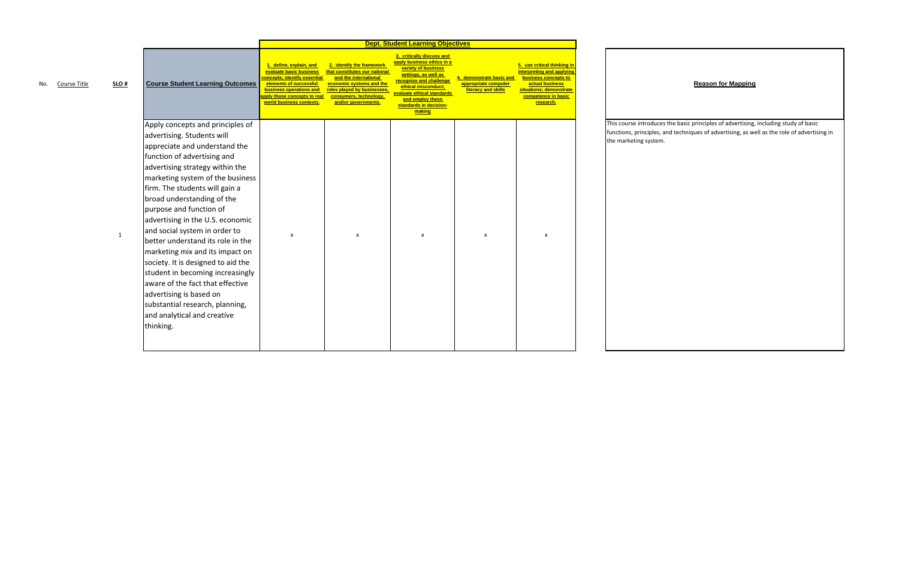course introduces the basic principles of advertising, including study of basic ns, principles, and techniques of advertising, as well as the role of advertising in keting system.

|                                |                                                                                                                                                                                                                                                                                                                                                                                                                                                                                                                                                                                                                                                                       |                                                                                                                                                                                                           |                                                                                                                                                                                                 | <b>Dept. Student Learning Objectives</b>                                                                                                                                                                                                       |                                                                      |                                                                                                                                                                    |
|--------------------------------|-----------------------------------------------------------------------------------------------------------------------------------------------------------------------------------------------------------------------------------------------------------------------------------------------------------------------------------------------------------------------------------------------------------------------------------------------------------------------------------------------------------------------------------------------------------------------------------------------------------------------------------------------------------------------|-----------------------------------------------------------------------------------------------------------------------------------------------------------------------------------------------------------|-------------------------------------------------------------------------------------------------------------------------------------------------------------------------------------------------|------------------------------------------------------------------------------------------------------------------------------------------------------------------------------------------------------------------------------------------------|----------------------------------------------------------------------|--------------------------------------------------------------------------------------------------------------------------------------------------------------------|
| $SLO$ #<br>Course Title<br>No. | <b>Course Student Learning Outcomes</b>                                                                                                                                                                                                                                                                                                                                                                                                                                                                                                                                                                                                                               | 1. define, explain, and<br>evaluate basic business<br><b>concepts; identify essential</b><br>elements of successful<br>business operations and<br>pply those concepts to real<br>world business contexts. | 2. identify the framework<br>that constitutes our national<br>and the international<br>economic systems and the<br>roles played by businesses,<br>consumers, technology,<br>and/or governments. | 3. critically discuss and<br>apply business ethics in a<br>variety of business<br>settings, as well as<br>recognize and challenge<br>ethical misconduct;<br>evaluate ethical standards<br>and employ these<br>standards in decision-<br>making | demonstrate basic and<br>appropriate computer<br>literacy and skills | 5. use critical thinking in<br>interpreting and applying<br>business concepts to<br>actual business<br>situations; demonstrate<br>competence in basic<br>research. |
| $\mathbf{1}$                   | Apply concepts and principles of<br>advertising. Students will<br>appreciate and understand the<br>function of advertising and<br>advertising strategy within the<br>marketing system of the business<br>firm. The students will gain a<br>broad understanding of the<br>purpose and function of<br>advertising in the U.S. economic<br>and social system in order to<br>better understand its role in the<br>marketing mix and its impact on<br>society. It is designed to aid the<br>student in becoming increasingly<br>aware of the fact that effective<br>advertising is based on<br>substantial research, planning,<br>and analytical and creative<br>thinking. | X                                                                                                                                                                                                         | $\boldsymbol{\mathsf{x}}$                                                                                                                                                                       | X                                                                                                                                                                                                                                              | $\boldsymbol{\mathsf{x}}$                                            | X                                                                                                                                                                  |

# **Reason for Mapping**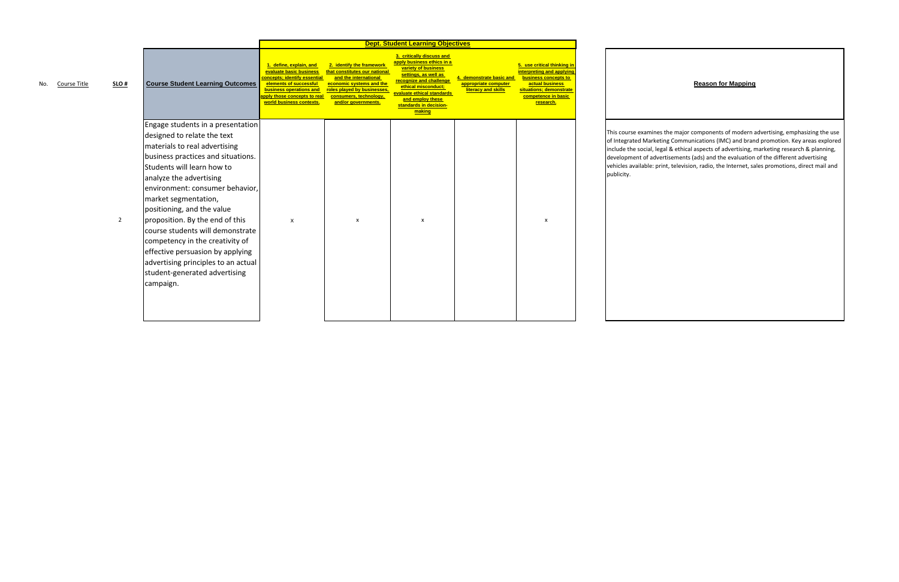|     |              |                |                                                            |                                                                                                                                                                                                     |                                                                                                                                                                                                 | <b>Dept. Student Learning Objectives</b>                                                                                                                                                                                                       |                                                                      |                                                                                                                                                                    |
|-----|--------------|----------------|------------------------------------------------------------|-----------------------------------------------------------------------------------------------------------------------------------------------------------------------------------------------------|-------------------------------------------------------------------------------------------------------------------------------------------------------------------------------------------------|------------------------------------------------------------------------------------------------------------------------------------------------------------------------------------------------------------------------------------------------|----------------------------------------------------------------------|--------------------------------------------------------------------------------------------------------------------------------------------------------------------|
| No. | Course Title | SLO#           | <b>Course Student Learning Outcomes</b>                    | 1. define, explain, and<br>evaluate basic business<br>concepts: identify essential<br>elements of successful<br>business operations and<br>apply those concepts to real<br>world business contexts. | 2. identify the framework<br>that constitutes our national<br>and the international<br>economic systems and the<br>roles played by businesses,<br>consumers, technology,<br>and/or governments. | 3. critically discuss and<br>apply business ethics in a<br>variety of business<br>settings, as well as<br>recognize and challenge<br>ethical misconduct:<br>evaluate ethical standards<br>and employ these<br>standards in decision-<br>making | demonstrate basic and<br>appropriate computer<br>literacy and skills | 5. use critical thinking in<br>interpreting and applying<br>business concepts to<br>actual business<br>situations; demonstrate<br>competence in basic<br>research. |
|     |              |                | Engage students in a presentation                          |                                                                                                                                                                                                     |                                                                                                                                                                                                 |                                                                                                                                                                                                                                                |                                                                      |                                                                                                                                                                    |
|     |              |                | designed to relate the text                                |                                                                                                                                                                                                     |                                                                                                                                                                                                 |                                                                                                                                                                                                                                                |                                                                      |                                                                                                                                                                    |
|     |              |                | materials to real advertising                              |                                                                                                                                                                                                     |                                                                                                                                                                                                 |                                                                                                                                                                                                                                                |                                                                      |                                                                                                                                                                    |
|     |              |                | business practices and situations.                         |                                                                                                                                                                                                     |                                                                                                                                                                                                 |                                                                                                                                                                                                                                                |                                                                      |                                                                                                                                                                    |
|     |              |                | Students will learn how to                                 |                                                                                                                                                                                                     |                                                                                                                                                                                                 |                                                                                                                                                                                                                                                |                                                                      |                                                                                                                                                                    |
|     |              |                | analyze the advertising<br>environment: consumer behavior, |                                                                                                                                                                                                     |                                                                                                                                                                                                 |                                                                                                                                                                                                                                                |                                                                      |                                                                                                                                                                    |
|     |              |                | market segmentation,                                       |                                                                                                                                                                                                     |                                                                                                                                                                                                 |                                                                                                                                                                                                                                                |                                                                      |                                                                                                                                                                    |
|     |              |                | positioning, and the value                                 |                                                                                                                                                                                                     |                                                                                                                                                                                                 |                                                                                                                                                                                                                                                |                                                                      |                                                                                                                                                                    |
|     |              | $\overline{2}$ | proposition. By the end of this                            | X                                                                                                                                                                                                   | X                                                                                                                                                                                               | X                                                                                                                                                                                                                                              |                                                                      | x                                                                                                                                                                  |
|     |              |                | course students will demonstrate                           |                                                                                                                                                                                                     |                                                                                                                                                                                                 |                                                                                                                                                                                                                                                |                                                                      |                                                                                                                                                                    |
|     |              |                | competency in the creativity of                            |                                                                                                                                                                                                     |                                                                                                                                                                                                 |                                                                                                                                                                                                                                                |                                                                      |                                                                                                                                                                    |
|     |              |                | effective persuasion by applying                           |                                                                                                                                                                                                     |                                                                                                                                                                                                 |                                                                                                                                                                                                                                                |                                                                      |                                                                                                                                                                    |
|     |              |                | advertising principles to an actual                        |                                                                                                                                                                                                     |                                                                                                                                                                                                 |                                                                                                                                                                                                                                                |                                                                      |                                                                                                                                                                    |
|     |              |                | student-generated advertising                              |                                                                                                                                                                                                     |                                                                                                                                                                                                 |                                                                                                                                                                                                                                                |                                                                      |                                                                                                                                                                    |
|     |              |                | campaign.                                                  |                                                                                                                                                                                                     |                                                                                                                                                                                                 |                                                                                                                                                                                                                                                |                                                                      |                                                                                                                                                                    |
|     |              |                |                                                            |                                                                                                                                                                                                     |                                                                                                                                                                                                 |                                                                                                                                                                                                                                                |                                                                      |                                                                                                                                                                    |
|     |              |                |                                                            |                                                                                                                                                                                                     |                                                                                                                                                                                                 |                                                                                                                                                                                                                                                |                                                                      |                                                                                                                                                                    |
|     |              |                |                                                            |                                                                                                                                                                                                     |                                                                                                                                                                                                 |                                                                                                                                                                                                                                                |                                                                      |                                                                                                                                                                    |

 course examines the major components of modern advertising, emphasizing the use rated Marketing Communications (IMC) and brand promotion. Key areas explored the social, legal & ethical aspects of advertising, marketing research & planning, ment of advertisements (ads) and the evaluation of the different advertising available: print, television, radio, the Internet, sales promotions, direct mail and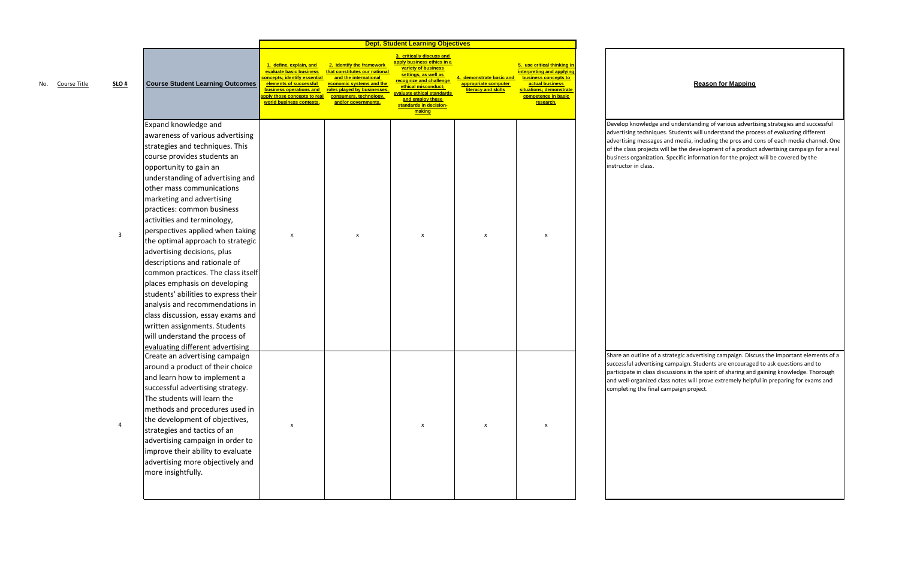p knowledge and understanding of various advertising strategies and successful ising techniques. Students will understand the process of evaluating different ising messages and media, including the pros and cons of each media channel. One class projects will be the development of <sup>a</sup> product advertising campaign for <sup>a</sup> real business organization. Specific information for the project will be covered by the

e an outline of a strategic advertising campaign. Discuss the important elements of a successful advertising campaign. Students are encouraged to ask questions and to pate in class discussions in the spirit of sharing and gaining knowledge. Thorough ll-organized class notes will prove extremely helpful in preparing for exams and eting the final campaign project.

|                                |                                                                                                                                                                                                                                                                                                                                                                                                                                                                                                                                                                                                                                                                                                                                                        |                                                                                                                                                                                                    |                                                                                                                                                                                                 | <b>Dept. Student Learning Objectives</b>                                                                                                                                                                                                                   |                                                                      |                                                                                                                                                                    |
|--------------------------------|--------------------------------------------------------------------------------------------------------------------------------------------------------------------------------------------------------------------------------------------------------------------------------------------------------------------------------------------------------------------------------------------------------------------------------------------------------------------------------------------------------------------------------------------------------------------------------------------------------------------------------------------------------------------------------------------------------------------------------------------------------|----------------------------------------------------------------------------------------------------------------------------------------------------------------------------------------------------|-------------------------------------------------------------------------------------------------------------------------------------------------------------------------------------------------|------------------------------------------------------------------------------------------------------------------------------------------------------------------------------------------------------------------------------------------------------------|----------------------------------------------------------------------|--------------------------------------------------------------------------------------------------------------------------------------------------------------------|
| $SLO$ #<br>Course Title<br>No. | <b>Course Student Learning Outcomes</b>                                                                                                                                                                                                                                                                                                                                                                                                                                                                                                                                                                                                                                                                                                                | 1. define, explain, and<br>evaluate basic business<br>concepts; identify essential<br>elements of successful<br>business operations and<br>pply those concepts to real<br>world business contexts. | 2. identify the framework<br>that constitutes our national<br>and the international<br>economic systems and the<br>roles played by businesses,<br>consumers, technology,<br>and/or governments. | 3. critically discuss and<br><mark>apply business ethics in a</mark><br>variety of business<br>settings, as well as<br>recognize and challenge<br>ethical misconduct;<br>valuate ethical standards<br>and employ these<br>standards in decision-<br>making | demonstrate basic and<br>appropriate computer<br>literacy and skills | 5. use critical thinking in<br>interpreting and applying<br>business concepts to<br>actual business<br>situations; demonstrate<br>competence in basic<br>research. |
| 3                              | Expand knowledge and<br>awareness of various advertising<br>strategies and techniques. This<br>course provides students an<br>opportunity to gain an<br>understanding of advertising and<br>other mass communications<br>marketing and advertising<br>practices: common business<br>activities and terminology,<br>perspectives applied when taking<br>the optimal approach to strategic<br>advertising decisions, plus<br>descriptions and rationale of<br>common practices. The class itself<br>places emphasis on developing<br>students' abilities to express their<br>analysis and recommendations in<br>class discussion, essay exams and<br>written assignments. Students<br>will understand the process of<br>evaluating different advertising | X                                                                                                                                                                                                  | x                                                                                                                                                                                               | x                                                                                                                                                                                                                                                          | X                                                                    | х                                                                                                                                                                  |
| $\overline{a}$                 | Create an advertising campaign<br>around a product of their choice<br>and learn how to implement a<br>successful advertising strategy.<br>The students will learn the<br>methods and procedures used in<br>the development of objectives,<br>strategies and tactics of an<br>advertising campaign in order to<br>improve their ability to evaluate<br>advertising more objectively and<br>more insightfully.                                                                                                                                                                                                                                                                                                                                           | $\pmb{\times}$                                                                                                                                                                                     |                                                                                                                                                                                                 | X                                                                                                                                                                                                                                                          | $\pmb{\mathsf{x}}$                                                   | X                                                                                                                                                                  |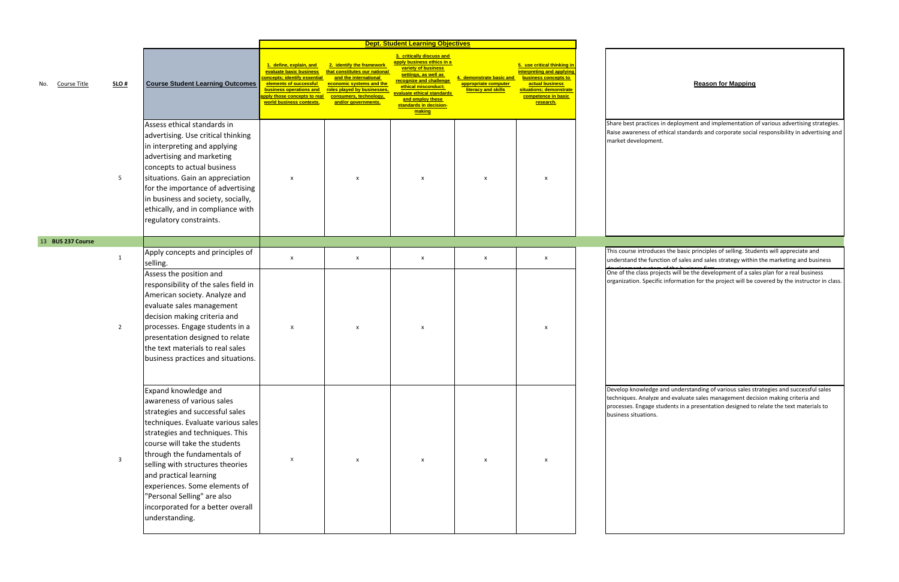ctices in deployment and implementation of various advertising strategies. e awareness of ethical standards and corporate social responsibility in advertising and oment.

> roduces the basic principles of selling. Students will appreciate and tinction of sales and sales strategy within the marketing and business

development system of the business firm One of the class projects will be the development of <sup>a</sup> sales plan for <sup>a</sup> real business pecific information for the project will be covered by the instructor in class.

> edge and understanding of various sales strategies and successful sales alyze and evaluate sales management decision making criteria and age students in a presentation designed to relate the text materials to

|                     |                |                                                                                                                                                                                                                                                                                                                                                                                                                     |                                                                                                                                                                                                            |                                                                                                                                                                                                 | <b>Dept. Student Learning Objectives</b>                                                                                                                                                                                                       |                                                                      |                                                                                                                                                                    |                                                                                               |
|---------------------|----------------|---------------------------------------------------------------------------------------------------------------------------------------------------------------------------------------------------------------------------------------------------------------------------------------------------------------------------------------------------------------------------------------------------------------------|------------------------------------------------------------------------------------------------------------------------------------------------------------------------------------------------------------|-------------------------------------------------------------------------------------------------------------------------------------------------------------------------------------------------|------------------------------------------------------------------------------------------------------------------------------------------------------------------------------------------------------------------------------------------------|----------------------------------------------------------------------|--------------------------------------------------------------------------------------------------------------------------------------------------------------------|-----------------------------------------------------------------------------------------------|
| Course Title<br>No. | SLO#           | <b>Course Student Learning Outcomes</b>                                                                                                                                                                                                                                                                                                                                                                             | 1. define, explain, and<br>evaluate basic business<br><b>concepts; identify essential</b><br>elements of successful<br>business operations and<br>apply those concepts to real<br>world business contexts. | 2. identify the framework<br>that constitutes our national<br>and the international<br>economic systems and the<br>roles played by businesses,<br>consumers, technology,<br>and/or governments. | 3. critically discuss and<br>apply business ethics in a<br>variety of business<br>settings, as well as<br>recognize and challenge<br>ethical misconduct;<br>evaluate ethical standards<br>and employ these<br>standards in decision-<br>making | demonstrate basic and<br>appropriate computer<br>literacy and skills | 5. use critical thinking in<br>interpreting and applying<br>business concepts to<br>actual business<br>situations; demonstrate<br>competence in basic<br>research. |                                                                                               |
|                     | 5              | Assess ethical standards in<br>advertising. Use critical thinking<br>in interpreting and applying<br>advertising and marketing<br>concepts to actual business<br>situations. Gain an appreciation<br>for the importance of advertising<br>in business and society, socially,<br>ethically, and in compliance with<br>regulatory constraints.                                                                        | X                                                                                                                                                                                                          | X                                                                                                                                                                                               | X                                                                                                                                                                                                                                              | x                                                                    | X                                                                                                                                                                  | Share best practices<br>Raise awareness of e<br>market developmen                             |
| 13 BUS 237 Course   |                |                                                                                                                                                                                                                                                                                                                                                                                                                     |                                                                                                                                                                                                            |                                                                                                                                                                                                 |                                                                                                                                                                                                                                                |                                                                      |                                                                                                                                                                    |                                                                                               |
|                     | $\mathbf{1}$   | Apply concepts and principles of<br>selling.<br>Assess the position and<br>responsibility of the sales field in                                                                                                                                                                                                                                                                                                     | X                                                                                                                                                                                                          | X                                                                                                                                                                                               | X                                                                                                                                                                                                                                              | X                                                                    | X                                                                                                                                                                  | This course introduc<br>understand the func<br>One of the class proj<br>organization. Specifi |
|                     | $\overline{2}$ | American society. Analyze and<br>evaluate sales management<br>decision making criteria and<br>processes. Engage students in a<br>presentation designed to relate<br>the text materials to real sales<br>business practices and situations.                                                                                                                                                                          | X                                                                                                                                                                                                          | X                                                                                                                                                                                               | $\boldsymbol{\mathsf{x}}$                                                                                                                                                                                                                      |                                                                      | $\boldsymbol{\mathsf{x}}$                                                                                                                                          |                                                                                               |
|                     | 3              | Expand knowledge and<br>awareness of various sales<br>strategies and successful sales<br>techniques. Evaluate various sales<br>strategies and techniques. This<br>course will take the students<br>through the fundamentals of<br>selling with structures theories<br>and practical learning<br>experiences. Some elements of<br>"Personal Selling" are also<br>incorporated for a better overall<br>understanding. | X                                                                                                                                                                                                          | X                                                                                                                                                                                               | X                                                                                                                                                                                                                                              | x                                                                    | $\boldsymbol{\mathsf{x}}$                                                                                                                                          | Develop knowledge<br>techniques. Analyze<br>processes. Engage st<br>business situations.      |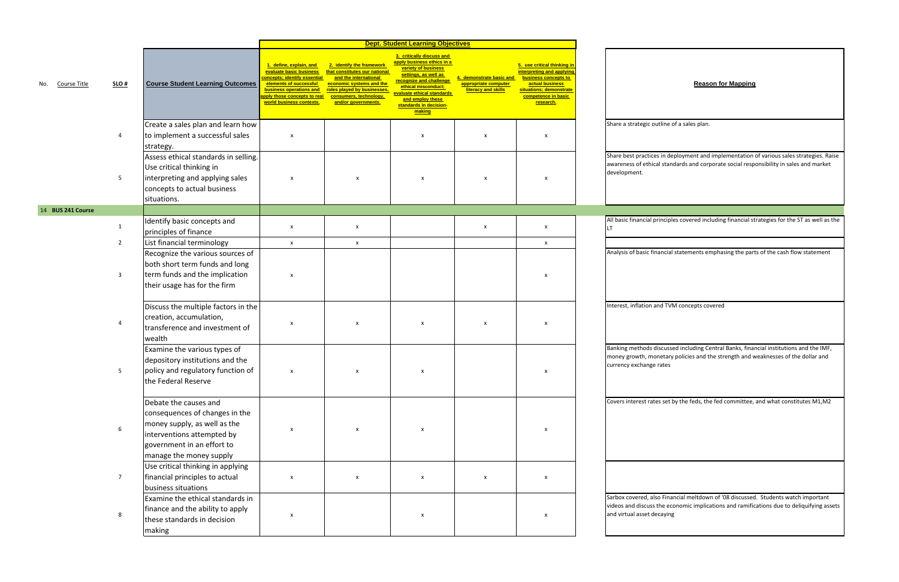c outline of a sales plan.

tices in deployment and implementation of various sales strategies. Raise of ethical standards and corporate social responsibility in sales and market

ial principles covered including financial strategies for the ST as well as the

financial statements emphasing the parts of the cash flow statement

on and TVM concepts covered

ds discussed including Central Banks, financial institutions and the IMF, monetary policies and the strength and weaknesses of the dollar and nge rates

rates set by the feds, the fed committee, and what constitutes M1,M2

also Financial meltdown of '08 discussed. Students watch important uss the economic implications and ramifications due to deliquifying assets t decaying

|                     |                  |                                                                                                                                                                                | <b>Dept. Student Learning Objectives</b>                                                                                                                                                                  |                                                                                                                                                                                                 |                                                                                                                                                                                                                                                |                                                                      |                                                                                                                                                                    |                                                             |
|---------------------|------------------|--------------------------------------------------------------------------------------------------------------------------------------------------------------------------------|-----------------------------------------------------------------------------------------------------------------------------------------------------------------------------------------------------------|-------------------------------------------------------------------------------------------------------------------------------------------------------------------------------------------------|------------------------------------------------------------------------------------------------------------------------------------------------------------------------------------------------------------------------------------------------|----------------------------------------------------------------------|--------------------------------------------------------------------------------------------------------------------------------------------------------------------|-------------------------------------------------------------|
| Course Title<br>No. | SLO#             | <b>Course Student Learning Outcomes</b>                                                                                                                                        | <u>. define, explain, and </u><br>evaluate basic business<br>concepts; identify essential<br>elements of successful<br>business operations and<br>pply those concepts to real<br>world business contexts. | 2. identify the framework<br>that constitutes our national<br>and the international<br>economic systems and the<br>roles played by businesses,<br>consumers, technology,<br>and/or governments. | 3. critically discuss and<br>apply business ethics in a<br>variety of business<br>settings, as well as<br>recognize and challenge<br>ethical misconduct;<br>evaluate ethical standards<br>and employ these<br>standards in decision-<br>making | demonstrate basic and<br>appropriate computer<br>literacy and skills | 5. use critical thinking in<br>interpreting and applying<br>business concepts to<br>actual business<br>situations; demonstrate<br>competence in basic<br>research. |                                                             |
|                     |                  | Create a sales plan and learn how                                                                                                                                              |                                                                                                                                                                                                           |                                                                                                                                                                                                 |                                                                                                                                                                                                                                                |                                                                      |                                                                                                                                                                    | Share a strategio                                           |
|                     | 4                | to implement a successful sales<br>strategy.                                                                                                                                   | $\pmb{\mathsf{X}}$                                                                                                                                                                                        |                                                                                                                                                                                                 | X                                                                                                                                                                                                                                              | X                                                                    | X                                                                                                                                                                  |                                                             |
|                     | 5                | Assess ethical standards in selling.<br>Use critical thinking in<br>interpreting and applying sales<br>concepts to actual business<br>situations.                              | X                                                                                                                                                                                                         | X                                                                                                                                                                                               | X                                                                                                                                                                                                                                              | х                                                                    | X                                                                                                                                                                  | Share best pract<br>awareness of etl<br>development.        |
| 14 BUS 241 Course   |                  |                                                                                                                                                                                |                                                                                                                                                                                                           |                                                                                                                                                                                                 |                                                                                                                                                                                                                                                |                                                                      |                                                                                                                                                                    |                                                             |
|                     | 1                | Identify basic concepts and<br>principles of finance                                                                                                                           | X                                                                                                                                                                                                         | X                                                                                                                                                                                               |                                                                                                                                                                                                                                                | X                                                                    | X                                                                                                                                                                  | All basic financia<br>LT.                                   |
|                     | $\overline{2}$   | List financial terminology                                                                                                                                                     | $\mathsf{x}$                                                                                                                                                                                              | X                                                                                                                                                                                               |                                                                                                                                                                                                                                                |                                                                      | $\mathsf{x}$                                                                                                                                                       |                                                             |
|                     | 3                | Recognize the various sources of<br>both short term funds and long<br>term funds and the implication<br>their usage has for the firm                                           | X                                                                                                                                                                                                         |                                                                                                                                                                                                 |                                                                                                                                                                                                                                                |                                                                      | X                                                                                                                                                                  | Analysis of basic                                           |
|                     | 4                | Discuss the multiple factors in the<br>creation, accumulation,<br>transference and investment of<br>wealth                                                                     | X                                                                                                                                                                                                         | X                                                                                                                                                                                               | $\boldsymbol{\mathsf{x}}$                                                                                                                                                                                                                      | x                                                                    | X                                                                                                                                                                  | Interest, inflatio                                          |
|                     | 5                | Examine the various types of<br>depository institutions and the<br>policy and regulatory function of<br>the Federal Reserve                                                    | X                                                                                                                                                                                                         | X                                                                                                                                                                                               | $\boldsymbol{\mathsf{x}}$                                                                                                                                                                                                                      |                                                                      | $\boldsymbol{\mathsf{x}}$                                                                                                                                          | <b>Banking method</b><br>money growth, i<br>currency exchan |
|                     | $\boldsymbol{6}$ | Debate the causes and<br>consequences of changes in the<br>money supply, as well as the<br>interventions attempted by<br>government in an effort to<br>manage the money supply | X                                                                                                                                                                                                         | $\pmb{\mathsf{X}}$                                                                                                                                                                              | X                                                                                                                                                                                                                                              |                                                                      | X                                                                                                                                                                  | Covers interest r                                           |
|                     | $\overline{7}$   | Use critical thinking in applying<br>financial principles to actual<br>business situations                                                                                     | $\pmb{\mathsf{X}}$                                                                                                                                                                                        | $\pmb{\mathsf{X}}$                                                                                                                                                                              | X                                                                                                                                                                                                                                              | X                                                                    | X                                                                                                                                                                  |                                                             |
|                     | 8                | Examine the ethical standards in<br>finance and the ability to apply<br>these standards in decision<br>making                                                                  | $\pmb{\mathsf{X}}$                                                                                                                                                                                        |                                                                                                                                                                                                 | X                                                                                                                                                                                                                                              |                                                                      | X                                                                                                                                                                  | Sarbox covered,<br>videos and discu<br>and virtual asset    |